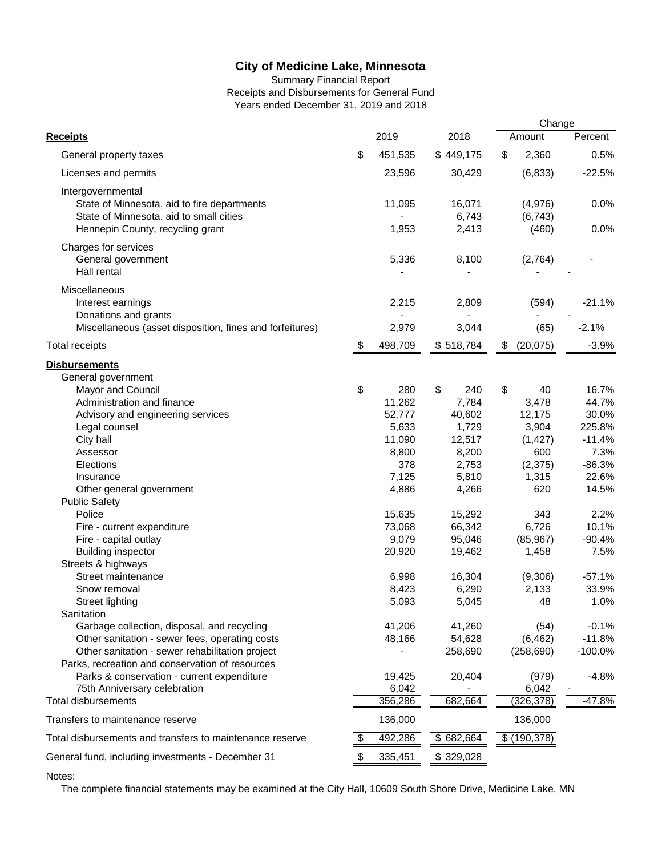Summary Financial Report Receipts and Disbursements for General Fund Years ended December 31, 2019 and 2018

|                                                                                                    |                           |         |           | Change          |            |
|----------------------------------------------------------------------------------------------------|---------------------------|---------|-----------|-----------------|------------|
| <b>Receipts</b>                                                                                    |                           | 2019    | 2018      | Amount          | Percent    |
| General property taxes                                                                             | \$                        | 451,535 | \$449,175 | \$<br>2,360     | 0.5%       |
| Licenses and permits                                                                               |                           | 23,596  | 30,429    | (6, 833)        | $-22.5%$   |
| Intergovernmental                                                                                  |                           |         |           |                 |            |
| State of Minnesota, aid to fire departments                                                        |                           | 11,095  | 16,071    | (4,976)         | 0.0%       |
| State of Minnesota, aid to small cities                                                            |                           |         | 6,743     | (6, 743)        |            |
| Hennepin County, recycling grant                                                                   |                           | 1,953   | 2,413     | (460)           | 0.0%       |
| Charges for services                                                                               |                           |         |           |                 |            |
| General government                                                                                 |                           | 5,336   | 8,100     | (2,764)         |            |
| Hall rental                                                                                        |                           |         |           |                 |            |
|                                                                                                    |                           |         |           |                 |            |
| Miscellaneous                                                                                      |                           |         |           |                 |            |
| Interest earnings                                                                                  |                           | 2,215   | 2,809     | (594)           | $-21.1%$   |
| Donations and grants                                                                               |                           |         |           |                 |            |
| Miscellaneous (asset disposition, fines and forfeitures)                                           |                           | 2,979   | 3,044     | (65)            | $-2.1%$    |
| <b>Total receipts</b>                                                                              | $\boldsymbol{\mathsf{S}}$ | 498,709 | \$518,784 | \$<br>(20, 075) | $-3.9%$    |
| <b>Disbursements</b>                                                                               |                           |         |           |                 |            |
| General government                                                                                 |                           |         |           |                 |            |
| Mayor and Council                                                                                  | \$                        | 280     | \$<br>240 | \$<br>40        | 16.7%      |
| Administration and finance                                                                         |                           | 11,262  | 7,784     | 3,478           | 44.7%      |
| Advisory and engineering services                                                                  |                           | 52,777  | 40,602    | 12,175          | 30.0%      |
| Legal counsel                                                                                      |                           | 5,633   | 1,729     | 3,904           | 225.8%     |
| City hall                                                                                          |                           | 11,090  | 12,517    | (1, 427)        | $-11.4%$   |
| Assessor                                                                                           |                           | 8,800   | 8,200     | 600             | 7.3%       |
| Elections                                                                                          |                           | 378     | 2,753     | (2, 375)        | $-86.3%$   |
| Insurance                                                                                          |                           | 7,125   | 5,810     | 1,315           | 22.6%      |
| Other general government                                                                           |                           | 4,886   | 4,266     | 620             | 14.5%      |
| <b>Public Safety</b>                                                                               |                           |         |           |                 |            |
| Police                                                                                             |                           | 15,635  | 15,292    | 343             | 2.2%       |
| Fire - current expenditure                                                                         |                           | 73,068  | 66,342    | 6,726           | 10.1%      |
| Fire - capital outlay                                                                              |                           | 9,079   | 95,046    | (85, 967)       | $-90.4%$   |
| <b>Building inspector</b>                                                                          |                           | 20,920  | 19,462    | 1,458           | 7.5%       |
| Streets & highways                                                                                 |                           |         |           |                 |            |
| Street maintenance                                                                                 |                           | 6,998   | 16,304    | (9,306)         | $-57.1%$   |
| Snow removal                                                                                       |                           | 8,423   | 6,290     | 2,133           | 33.9%      |
| Street lighting                                                                                    |                           | 5,093   | 5,045     | 48              | 1.0%       |
| Sanitation                                                                                         |                           |         |           |                 |            |
| Garbage collection, disposal, and recycling                                                        |                           | 41,206  | 41,260    | (54)            | $-0.1%$    |
| Other sanitation - sewer fees, operating costs                                                     |                           | 48,166  | 54,628    | (6, 462)        | $-11.8%$   |
| Other sanitation - sewer rehabilitation project<br>Parks, recreation and conservation of resources |                           |         | 258,690   | (258, 690)      | $-100.0\%$ |
| Parks & conservation - current expenditure                                                         |                           | 19,425  | 20,404    | (979)           | $-4.8%$    |
| 75th Anniversary celebration                                                                       |                           | 6,042   |           | 6,042           |            |
| Total disbursements                                                                                |                           | 356,286 | 682,664   | (326, 378)      | $-47.8%$   |
|                                                                                                    |                           |         |           |                 |            |
| Transfers to maintenance reserve                                                                   |                           | 136,000 |           | 136,000         |            |
| Total disbursements and transfers to maintenance reserve                                           | \$                        | 492,286 | \$682,664 | \$ (190, 378)   |            |
| General fund, including investments - December 31                                                  | P.                        | 335,451 | \$329,028 |                 |            |

Notes:

The complete financial statements may be examined at the City Hall, 10609 South Shore Drive, Medicine Lake, MN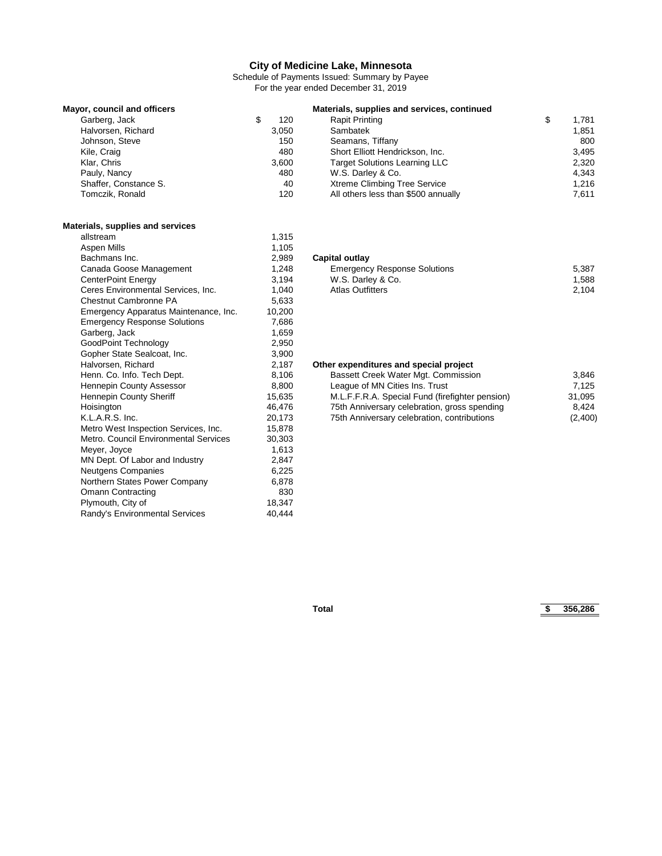Schedule of Payments Issued: Summary by Payee For the year ended December 31, 2019

| Mayor, council and officers |       | Materials, supplies and services, continued |             |
|-----------------------------|-------|---------------------------------------------|-------------|
| Garberg, Jack               | 120   | <b>Rapit Printing</b>                       | \$<br>1.781 |
| Halvorsen, Richard          | 3,050 | Sambatek                                    | 1.851       |
| Johnson, Steve              | 150   | Seamans, Tiffany                            | 800         |
| Kile, Craig                 | 480   | Short Elliott Hendrickson, Inc.             | 3.495       |
| Klar, Chris                 | 3.600 | <b>Target Solutions Learning LLC</b>        | 2.320       |
| Pauly, Nancy                | 480   | W.S. Darley & Co.                           | 4.343       |
| Shaffer, Constance S.       | 40    | <b>Xtreme Climbing Tree Service</b>         | 1.216       |
| Tomczik, Ronald             | 120   | All others less than \$500 annually         | 7.611       |

# **Materials, supplies and services**

| allstream                             | 1,315  |
|---------------------------------------|--------|
| Aspen Mills                           | 1,105  |
| Bachmans Inc.                         | 2,989  |
| Canada Goose Management               | 1,248  |
| CenterPoint Energy                    | 3,194  |
| Ceres Environmental Services, Inc.    | 1,040  |
| <b>Chestnut Cambronne PA</b>          | 5,633  |
| Emergency Apparatus Maintenance, Inc. | 10,200 |
| <b>Emergency Response Solutions</b>   | 7,686  |
| Garberg, Jack                         | 1,659  |
| GoodPoint Technology                  | 2,950  |
| Gopher State Sealcoat, Inc.           | 3,900  |
| Halvorsen, Richard                    | 2,187  |
| Henn. Co. Info. Tech Dept.            | 8,106  |
| Hennepin County Assessor              | 8,800  |
| Hennepin County Sheriff               | 15,635 |
| Hoisington                            | 46,476 |
| K.L.A.R.S. Inc.                       | 20,173 |
| Metro West Inspection Services, Inc.  | 15,878 |
| Metro, Council Environmental Services | 30,303 |
| Meyer, Joyce                          | 1,613  |
| MN Dept. Of Labor and Industry        | 2,847  |
| <b>Neutgens Companies</b>             | 6,225  |
| Northern States Power Company         | 6,878  |
| <b>Omann Contracting</b>              | 830    |
| Plymouth, City of                     | 18,347 |
| Randy's Environmental Services        | 40,444 |

#### **Capital outlay**

| Canada Goose Management            | 1.248 | <b>Emergency Response Solutions</b> | 5,387 |
|------------------------------------|-------|-------------------------------------|-------|
| CenterPoint Energy                 | 3.194 | W.S. Darley & Co.                   | 1.588 |
| Ceres Environmental Services. Inc. | 1.040 | Atlas Outfitters                    | 2.104 |
| .                                  | - --- |                                     |       |

#### **Other expenditures and special project**

| 8.106  | Bassett Creek Water Mgt. Commission             | 3.846   |
|--------|-------------------------------------------------|---------|
| 8.800  | League of MN Cities Ins. Trust                  | 7.125   |
| 15.635 | M.L.F.F.R.A. Special Fund (firefighter pension) | 31.095  |
| 46.476 | 75th Anniversary celebration, gross spending    | 8.424   |
| 20.173 | 75th Anniversary celebration, contributions     | (2,400) |
|        |                                                 |         |

**Total \$ 356,286**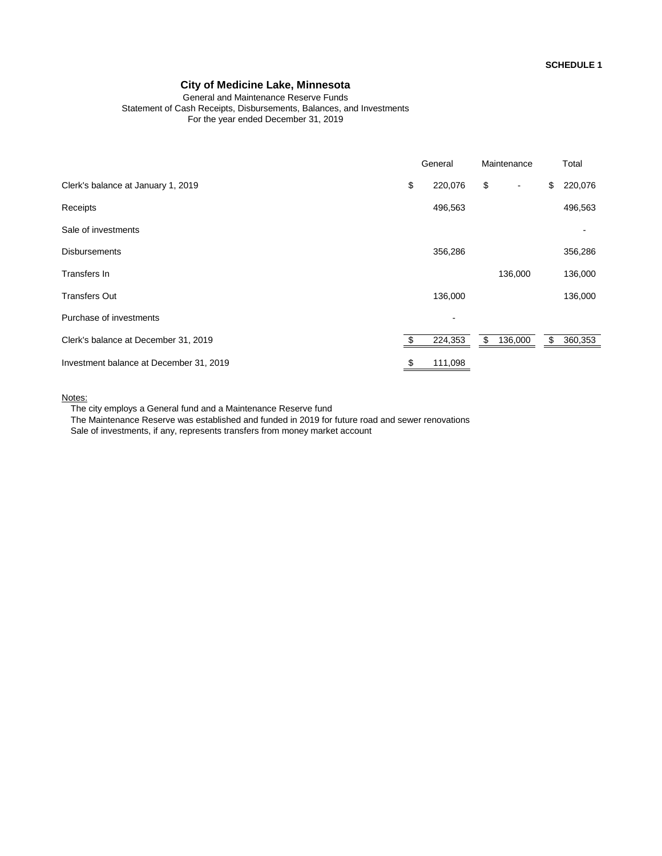#### General and Maintenance Reserve Funds Statement of Cash Receipts, Disbursements, Balances, and Investments For the year ended December 31, 2019

|                                         | General       |     | Maintenance    | Total         |
|-----------------------------------------|---------------|-----|----------------|---------------|
| Clerk's balance at January 1, 2019      | \$<br>220,076 | \$  | $\blacksquare$ | \$<br>220,076 |
| Receipts                                | 496,563       |     |                | 496,563       |
| Sale of investments                     |               |     |                |               |
| <b>Disbursements</b>                    | 356,286       |     |                | 356,286       |
| Transfers In                            |               |     | 136,000        | 136,000       |
| <b>Transfers Out</b>                    | 136,000       |     |                | 136,000       |
| Purchase of investments                 | ٠             |     |                |               |
| Clerk's balance at December 31, 2019    | 224,353       | \$. | 136,000        | \$<br>360,353 |
| Investment balance at December 31, 2019 | \$<br>111,098 |     |                |               |

#### Notes:

The city employs a General fund and a Maintenance Reserve fund

The Maintenance Reserve was established and funded in 2019 for future road and sewer renovations Sale of investments, if any, represents transfers from money market account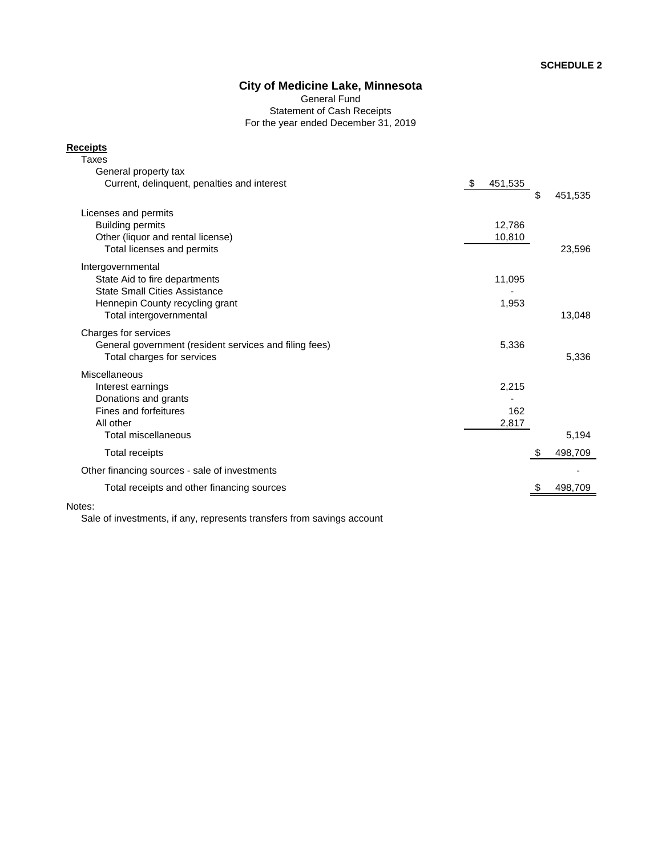General Fund Statement of Cash Receipts For the year ended December 31, 2019

#### **Receipts**

| Taxes                                                  |                |               |
|--------------------------------------------------------|----------------|---------------|
| General property tax                                   |                |               |
| Current, delinguent, penalties and interest            | -\$<br>451,535 | \$<br>451,535 |
| Licenses and permits                                   |                |               |
| <b>Building permits</b>                                | 12,786         |               |
| Other (liquor and rental license)                      | 10,810         |               |
| Total licenses and permits                             |                | 23,596        |
| Intergovernmental                                      |                |               |
| State Aid to fire departments                          | 11,095         |               |
| <b>State Small Cities Assistance</b>                   |                |               |
| Hennepin County recycling grant                        | 1,953          |               |
| Total intergovernmental                                |                | 13,048        |
| Charges for services                                   |                |               |
| General government (resident services and filing fees) | 5,336          |               |
| Total charges for services                             |                | 5,336         |
| Miscellaneous                                          |                |               |
| Interest earnings                                      | 2,215          |               |
| Donations and grants                                   |                |               |
| Fines and forfeitures                                  | 162            |               |
| All other                                              | 2,817          |               |
| Total miscellaneous                                    |                | 5,194         |
| <b>Total receipts</b>                                  |                | \$<br>498,709 |
| Other financing sources - sale of investments          |                |               |
| Total receipts and other financing sources             |                | 498,709       |
|                                                        |                |               |

#### Notes:

Sale of investments, if any, represents transfers from savings account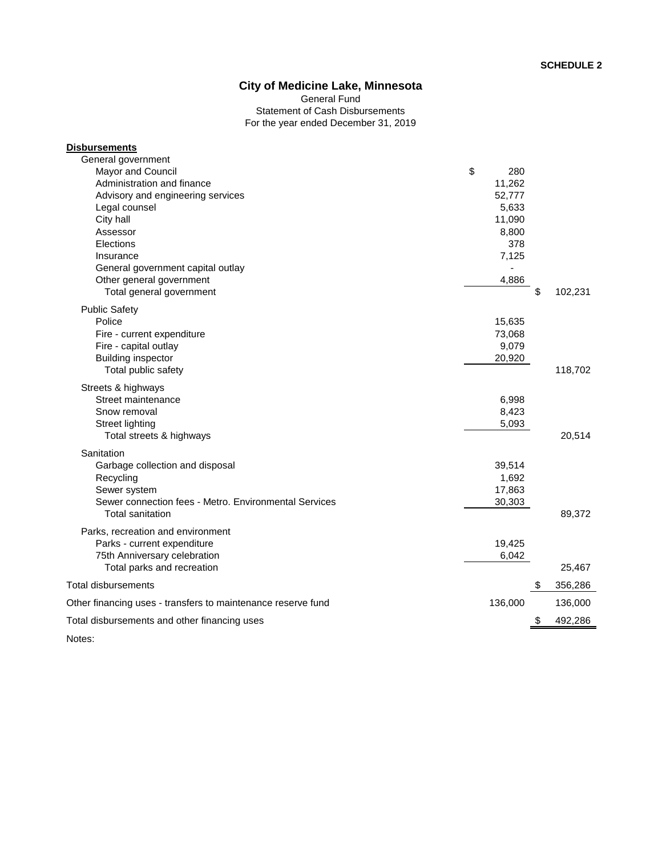Statement of Cash Disbursements For the year ended December 31, 2019 General Fund

| <b>Disbursements</b>                                                             |           |         |  |
|----------------------------------------------------------------------------------|-----------|---------|--|
| General government                                                               |           |         |  |
| Mayor and Council                                                                | \$<br>280 |         |  |
| Administration and finance                                                       | 11,262    |         |  |
| Advisory and engineering services                                                | 52,777    |         |  |
| Legal counsel                                                                    | 5,633     |         |  |
| City hall                                                                        | 11,090    |         |  |
| Assessor                                                                         | 8,800     |         |  |
| Elections                                                                        | 378       |         |  |
| Insurance                                                                        | 7,125     |         |  |
| General government capital outlay                                                |           |         |  |
| Other general government                                                         | 4,886     |         |  |
| Total general government                                                         | \$        | 102,231 |  |
| <b>Public Safety</b>                                                             |           |         |  |
| Police                                                                           | 15,635    |         |  |
| Fire - current expenditure                                                       | 73,068    |         |  |
| Fire - capital outlay                                                            | 9,079     |         |  |
| <b>Building inspector</b>                                                        | 20,920    |         |  |
| Total public safety                                                              |           | 118,702 |  |
| Streets & highways                                                               |           |         |  |
| Street maintenance                                                               | 6,998     |         |  |
| Snow removal                                                                     | 8,423     |         |  |
| <b>Street lighting</b>                                                           | 5,093     |         |  |
| Total streets & highways                                                         |           | 20,514  |  |
| Sanitation                                                                       |           |         |  |
| Garbage collection and disposal                                                  | 39,514    |         |  |
| Recycling                                                                        | 1,692     |         |  |
| Sewer system                                                                     | 17,863    |         |  |
| Sewer connection fees - Metro, Environmental Services<br><b>Total sanitation</b> | 30,303    | 89,372  |  |
| Parks, recreation and environment                                                |           |         |  |
| Parks - current expenditure                                                      | 19,425    |         |  |
| 75th Anniversary celebration                                                     | 6,042     |         |  |
| Total parks and recreation                                                       |           | 25,467  |  |
| <b>Total disbursements</b>                                                       |           | 356,286 |  |
| Other financing uses - transfers to maintenance reserve fund                     | 136,000   | 136,000 |  |
| Total disbursements and other financing uses                                     | S         | 492,286 |  |
|                                                                                  |           |         |  |

Notes: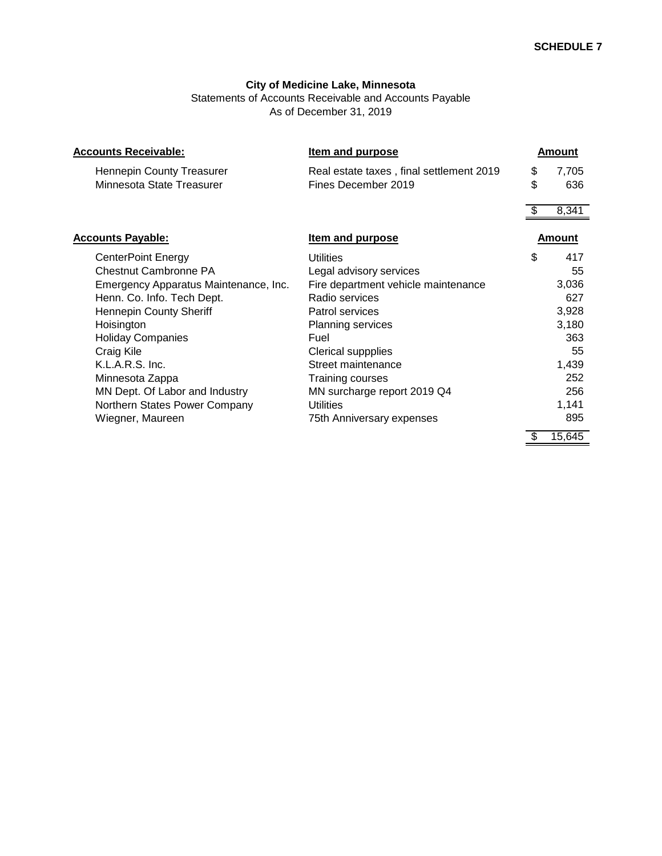Statements of Accounts Receivable and Accounts Payable As of December 31, 2019

| <b>Accounts Receivable:</b>                            | <b>Item and purpose</b>                                         |          | <b>Amount</b> |
|--------------------------------------------------------|-----------------------------------------------------------------|----------|---------------|
| Hennepin County Treasurer<br>Minnesota State Treasurer | Real estate taxes, final settlement 2019<br>Fines December 2019 | \$<br>\$ | 7,705<br>636  |
|                                                        |                                                                 |          | 8,341         |
| <b>Accounts Payable:</b>                               | <b>Item and purpose</b>                                         |          | Amount        |
| <b>CenterPoint Energy</b>                              | <b>Utilities</b>                                                | \$       | 417           |
| <b>Chestnut Cambronne PA</b>                           | Legal advisory services                                         |          | 55            |
| Emergency Apparatus Maintenance, Inc.                  | Fire department vehicle maintenance                             |          | 3,036         |
| Henn. Co. Info. Tech Dept.                             | Radio services                                                  |          | 627           |
| <b>Hennepin County Sheriff</b>                         | Patrol services                                                 |          | 3,928         |
| Hoisington                                             | <b>Planning services</b>                                        |          | 3,180         |
| <b>Holiday Companies</b>                               | Fuel                                                            |          | 363           |
| Craig Kile                                             | Clerical suppplies                                              |          | 55            |
| K.L.A.R.S. Inc.                                        | Street maintenance                                              |          | 1,439         |
| Minnesota Zappa                                        | <b>Training courses</b>                                         |          | 252           |
| MN Dept. Of Labor and Industry                         | MN surcharge report 2019 Q4                                     |          | 256           |
| Northern States Power Company                          | Utilities                                                       |          | 1,141         |
| Wiegner, Maureen                                       | 75th Anniversary expenses                                       |          | 895           |
|                                                        |                                                                 |          | 15,645        |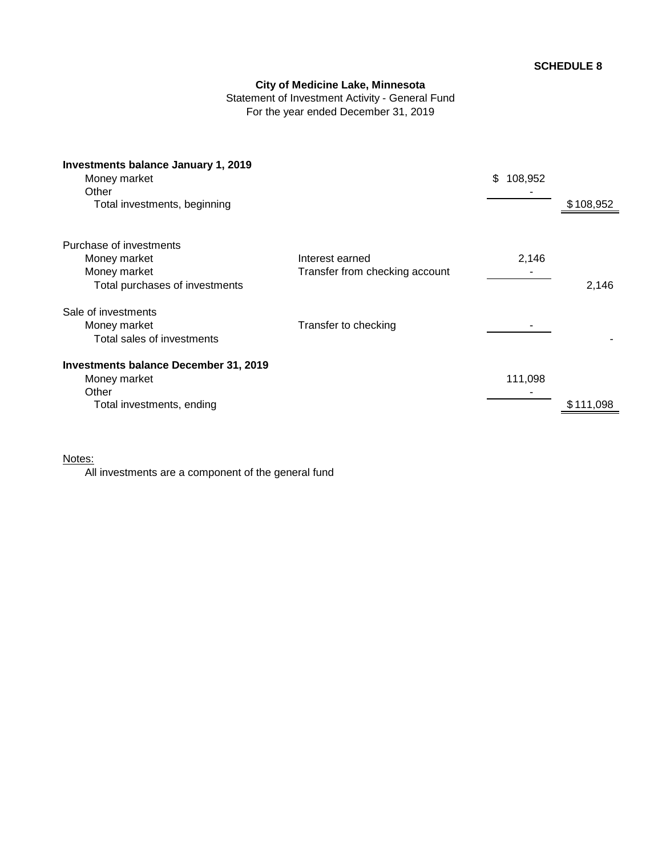Statement of Investment Activity - General Fund For the year ended December 31, 2019

| Investments balance January 1, 2019<br>Money market<br>Other |                                | 108,952<br>\$ |           |
|--------------------------------------------------------------|--------------------------------|---------------|-----------|
| Total investments, beginning                                 |                                |               | \$108,952 |
| Purchase of investments                                      |                                |               |           |
| Money market                                                 | Interest earned                | 2,146         |           |
| Money market                                                 | Transfer from checking account |               |           |
| Total purchases of investments                               |                                |               | 2,146     |
| Sale of investments                                          |                                |               |           |
| Money market                                                 | Transfer to checking           |               |           |
| Total sales of investments                                   |                                |               |           |
| Investments balance December 31, 2019                        |                                |               |           |
| Money market                                                 |                                | 111,098       |           |
| Other                                                        |                                |               |           |
| Total investments, ending                                    |                                |               | \$111,098 |
|                                                              |                                |               |           |

### Notes:

All investments are a component of the general fund